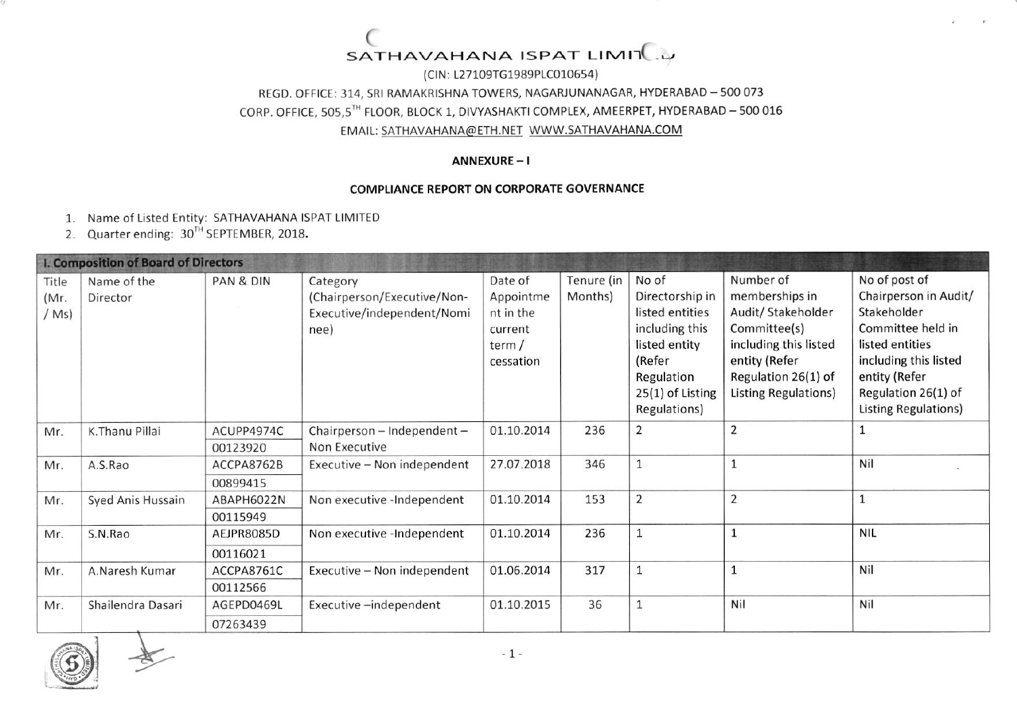### ( SATHAVAHANA ISPAT LIMIT

(ClN: 127109T61989Ptco10654) REGD. OFFICE: 314, SRI RAMAKRISHNA TOWERS, NAGARJUNANAGAR, HYDERABAD - 500 073 CORP, OFFICE, 505,5TH FLOOR, BLOCK 1, DIVYASHAKTI COMPLEX, AMEERPET, HYDERABAD - 500 016 EMAIL: SATHAVAHANA@ETH.NET WWW.SATHAVAHANA.COM

#### ANNEXURE-I

#### COMPLIANCE REPORT ON CORPORATE GOVERNANCE

- 1. Name of listed Entity: SATHAVAHANA ISPAT LIMITED
- 2. Quarter ending:  $30^{TH}$  SEPTEMBER, 2018.

| I. Composition of Board of Directors |                         |            |                                                                               |                                                                    |                       |                                                                                                                                            |                                                                                                                                                            |                                                                                                                                                                                        |
|--------------------------------------|-------------------------|------------|-------------------------------------------------------------------------------|--------------------------------------------------------------------|-----------------------|--------------------------------------------------------------------------------------------------------------------------------------------|------------------------------------------------------------------------------------------------------------------------------------------------------------|----------------------------------------------------------------------------------------------------------------------------------------------------------------------------------------|
| Title<br>(Mr.<br>(Ms)                | Name of the<br>Director | PAN & DIN  | Category<br>(Chairperson/Executive/Non-<br>Executive/independent/Nomi<br>nee) | Date of<br>Appointme<br>nt in the<br>current<br>term/<br>cessation | Tenure (in<br>Months) | No of<br>Directorship in<br>listed entities<br>including this<br>listed entity<br>(Refer<br>Regulation<br>25(1) of Listing<br>Regulations) | Number of<br>memberships in<br>Audit/ Stakeholder<br>Committee(s)<br>including this listed<br>entity (Refer<br>Regulation 26(1) of<br>Listing Regulations) | No of post of<br>Chairperson in Audit/<br>Stakeholder<br>Committee held in<br>listed entities<br>including this listed<br>entity (Refer<br>Regulation 26(1) of<br>Listing Regulations) |
| Mr.                                  | K.Thanu Pillai          | ACUPP4974C | Chairperson - Independent -                                                   | 01.10.2014                                                         | 236                   | $\overline{2}$                                                                                                                             | $\overline{2}$                                                                                                                                             | 1                                                                                                                                                                                      |
|                                      |                         | 00123920   | Non Executive                                                                 |                                                                    |                       |                                                                                                                                            |                                                                                                                                                            |                                                                                                                                                                                        |
| Mr.                                  | A.S.Rao                 | ACCPA8762B | Executive - Non independent                                                   | 27.07.2018                                                         | 346                   |                                                                                                                                            | $\mathbf{1}$                                                                                                                                               | Nil                                                                                                                                                                                    |
|                                      |                         | 00899415   |                                                                               |                                                                    |                       |                                                                                                                                            |                                                                                                                                                            |                                                                                                                                                                                        |
| Mr.                                  | Syed Anis Hussain       | ABAPH6022N | Non executive -Independent                                                    | 01.10.2014                                                         | 153                   | $\overline{2}$                                                                                                                             | $\overline{2}$                                                                                                                                             | $\mathbf{1}$                                                                                                                                                                           |
|                                      |                         | 00115949   |                                                                               |                                                                    |                       |                                                                                                                                            |                                                                                                                                                            |                                                                                                                                                                                        |
| Mr.                                  | S.N.Rao                 | AEJPR8085D | Non executive -Independent                                                    | 01.10.2014                                                         | 236                   |                                                                                                                                            | $\mathbf{1}$                                                                                                                                               | <b>NIL</b>                                                                                                                                                                             |
|                                      |                         | 00116021   |                                                                               |                                                                    |                       |                                                                                                                                            |                                                                                                                                                            |                                                                                                                                                                                        |
| Mr.                                  | A.Naresh Kumar          | ACCPA8761C | Executive - Non independent                                                   | 01.06.2014                                                         | 317                   |                                                                                                                                            | $\mathbf{1}$                                                                                                                                               | Nil                                                                                                                                                                                    |
|                                      |                         | 00112566   |                                                                               |                                                                    |                       |                                                                                                                                            |                                                                                                                                                            |                                                                                                                                                                                        |
| Mr.                                  | Shailendra Dasari       | AGEPD0469L | Executive-independent                                                         | 01.10.2015                                                         | 36                    |                                                                                                                                            | Nil                                                                                                                                                        | Nil                                                                                                                                                                                    |
|                                      |                         | 07263439   |                                                                               |                                                                    |                       |                                                                                                                                            |                                                                                                                                                            |                                                                                                                                                                                        |

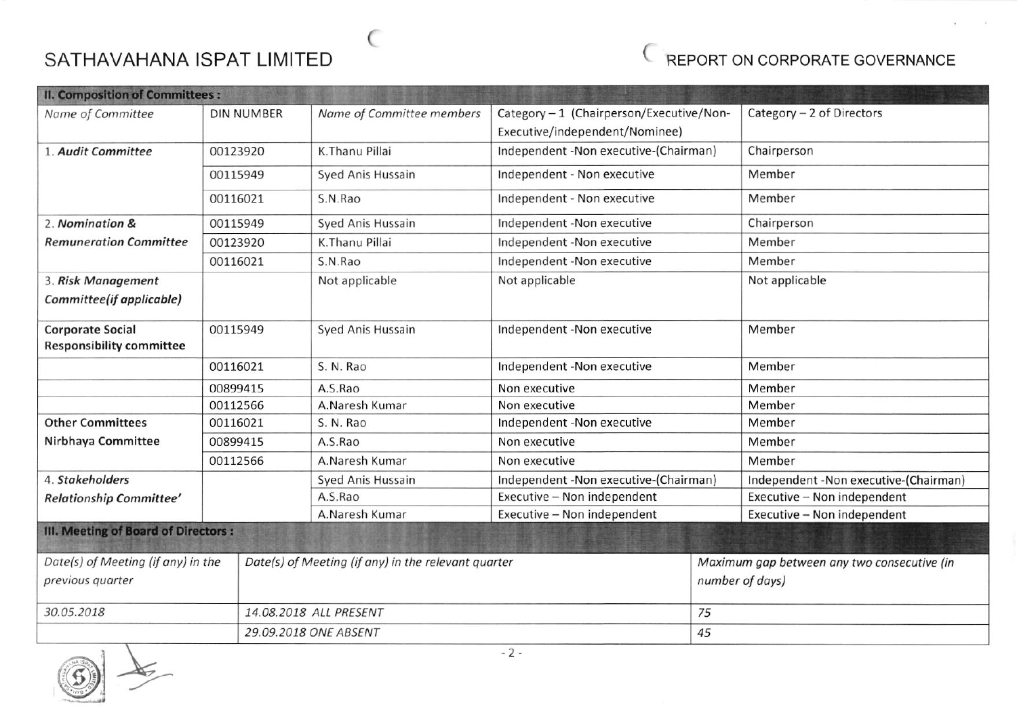# SATHAVAHANA ISPAT LIMITED SATHAVAHANA ISPAT LIMITED

 $\epsilon$ 



| <b>II. Composition of Committees:</b> |                   |                                                     |                                          |                                             |  |  |
|---------------------------------------|-------------------|-----------------------------------------------------|------------------------------------------|---------------------------------------------|--|--|
| Name of Committee                     | <b>DIN NUMBER</b> | Name of Committee members                           | Category - 1 (Chairperson/Executive/Non- | Category - 2 of Directors                   |  |  |
|                                       |                   |                                                     | Executive/independent/Nominee)           |                                             |  |  |
| 1. Audit Committee                    | 00123920          | K.Thanu Pillai                                      | Independent -Non executive-(Chairman)    | Chairperson                                 |  |  |
|                                       | 00115949          | Syed Anis Hussain                                   | Independent - Non executive              | Member                                      |  |  |
|                                       | 00116021          | S.N.Rao                                             | Independent - Non executive              | Member                                      |  |  |
| 2. Nomination &                       | 00115949          | Syed Anis Hussain                                   | Independent -Non executive               | Chairperson                                 |  |  |
| <b>Remuneration Committee</b>         | 00123920          | K.Thanu Pillai                                      | Independent -Non executive               | Member                                      |  |  |
|                                       | 00116021          | S.N.Rao                                             | Independent -Non executive               | Member                                      |  |  |
| 3. Risk Management                    |                   | Not applicable                                      | Not applicable                           | Not applicable                              |  |  |
| Committee(if applicable)              |                   |                                                     |                                          |                                             |  |  |
| <b>Corporate Social</b>               | 00115949          | Syed Anis Hussain                                   | Independent -Non executive               | Member                                      |  |  |
| <b>Responsibility committee</b>       |                   |                                                     |                                          |                                             |  |  |
|                                       | 00116021          | S. N. Rao                                           | Independent -Non executive               | Member                                      |  |  |
| 00899415                              |                   | A.S.Rao                                             | Non executive                            | Member                                      |  |  |
|                                       | 00112566          | A.Naresh Kumar                                      | Non executive                            | Member                                      |  |  |
| <b>Other Committees</b>               | 00116021          | S. N. Rao                                           | Independent -Non executive               | Member                                      |  |  |
| Nirbhaya Committee                    | 00899415          | A.S.Rao                                             | Non executive                            | Member                                      |  |  |
|                                       | 00112566          | A.Naresh Kumar                                      | Non executive                            | Member                                      |  |  |
| 4. Stakeholders                       |                   | Syed Anis Hussain                                   | Independent -Non executive-(Chairman)    | Independent -Non executive-(Chairman)       |  |  |
| Relationship Committee'               |                   | A.S.Rao                                             | Executive - Non independent              | Executive - Non independent                 |  |  |
|                                       |                   | A.Naresh Kumar                                      | Executive - Non independent              | Executive - Non independent                 |  |  |
| III. Meeting of Board of Directors :  |                   |                                                     |                                          |                                             |  |  |
| Date(s) of Meeting (if any) in the    |                   | Date(s) of Meeting (if any) in the relevant quarter |                                          | Maximum gap between any two consecutive (in |  |  |
| previous quarter                      |                   |                                                     |                                          | number of days)                             |  |  |
| 30.05.2018                            |                   | 14.08.2018 ALL PRESENT                              | 75                                       |                                             |  |  |
|                                       |                   | 29.09.2018 ONE ABSENT                               | 45                                       |                                             |  |  |

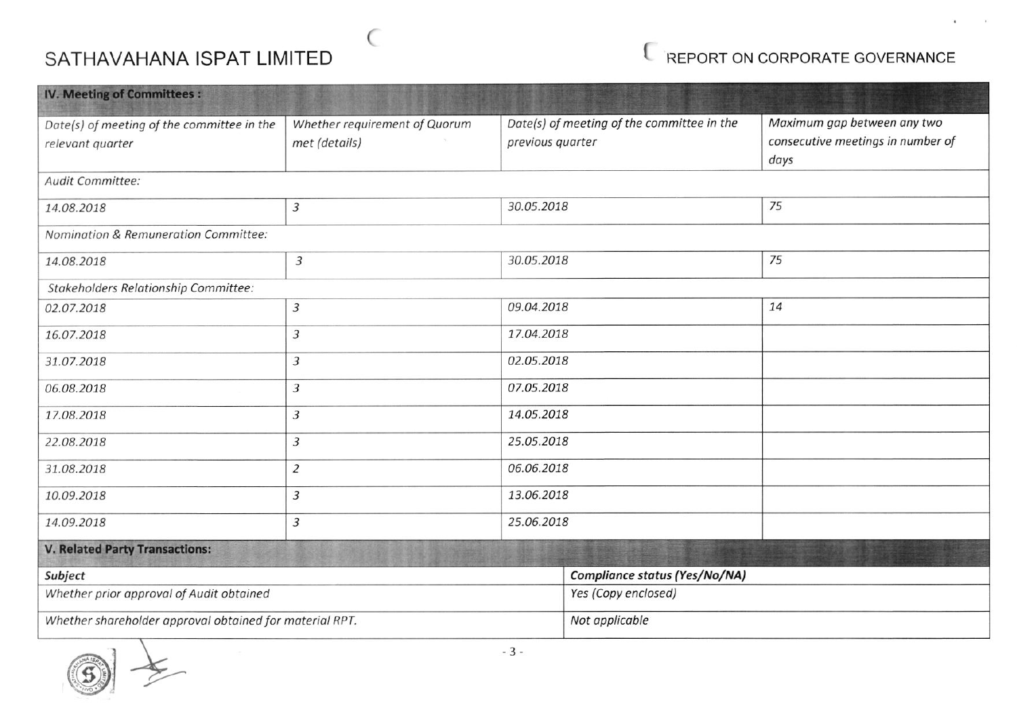## SATHAVAHANA ISPAT LIMITED

 $\subset$ 

## E REPORT ON CORPORATE GOVERNANCE

| <b>IV. Meeting of Committees:</b>                                                                                                    |                              |                                            |                                                                          |    |  |
|--------------------------------------------------------------------------------------------------------------------------------------|------------------------------|--------------------------------------------|--------------------------------------------------------------------------|----|--|
| Whether requirement of Quorum<br>Date(s) of meeting of the committee in the<br>met (details)<br>previous quarter<br>relevant quarter |                              | Date(s) of meeting of the committee in the | Maximum gap between any two<br>consecutive meetings in number of<br>days |    |  |
| Audit Committee:                                                                                                                     |                              |                                            |                                                                          |    |  |
| 14.08.2018                                                                                                                           | $\overline{3}$               | 30.05.2018                                 |                                                                          | 75 |  |
| Nomination & Remuneration Committee:                                                                                                 |                              |                                            |                                                                          |    |  |
| 14.08.2018                                                                                                                           | $\overline{3}$               | 30.05.2018                                 |                                                                          | 75 |  |
| Stakeholders Relationship Committee:                                                                                                 |                              |                                            |                                                                          |    |  |
| 02.07.2018                                                                                                                           | $\overline{3}$               | 09.04.2018                                 |                                                                          | 14 |  |
| 16.07.2018                                                                                                                           | $\overline{3}$               | 17.04.2018                                 |                                                                          |    |  |
| 31.07.2018                                                                                                                           | 3                            | 02.05.2018                                 |                                                                          |    |  |
| 06.08.2018                                                                                                                           | 07.05.2018<br>3              |                                            |                                                                          |    |  |
| 17.08.2018                                                                                                                           | 3                            |                                            | 14.05.2018                                                               |    |  |
| 22.08.2018                                                                                                                           | $\overline{3}$               | 25.05.2018                                 |                                                                          |    |  |
| 31.08.2018                                                                                                                           | 06.06.2018<br>$\overline{2}$ |                                            |                                                                          |    |  |
| 10.09.2018                                                                                                                           | 3                            | 13.06.2018                                 |                                                                          |    |  |
| 14.09.2018                                                                                                                           | 3                            | 25.06.2018                                 |                                                                          |    |  |
| <b>V. Related Party Transactions:</b>                                                                                                |                              |                                            |                                                                          |    |  |
| Subject                                                                                                                              |                              |                                            | Compliance status (Yes/No/NA)                                            |    |  |
| Whether prior approval of Audit obtained                                                                                             |                              | Yes (Copy enclosed)                        |                                                                          |    |  |
| Whether shareholder approval obtained for material RPT.                                                                              |                              |                                            | Not applicable                                                           |    |  |